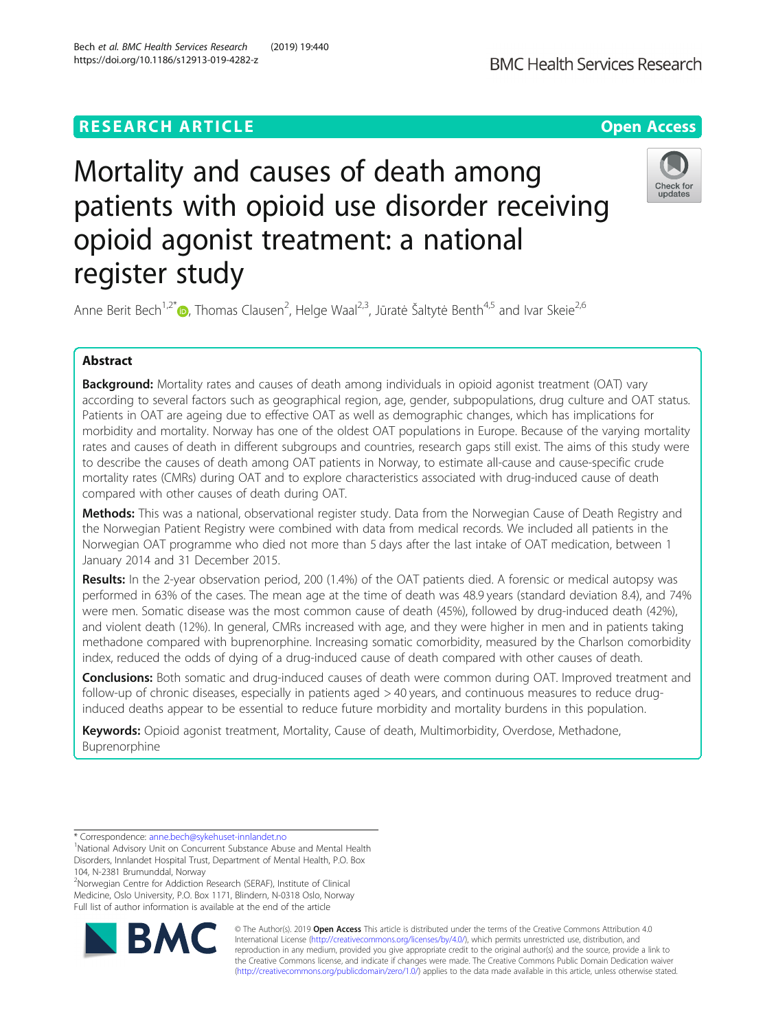# **RESEARCH ARTICLE Example 2018 12:30 THE Open Access**

https://doi.org/10.1186/s12913-019-4282-z

# Mortality and causes of death among patients with opioid use disorder receiving opioid agonist treatment: a national register study

Anne Berit Bech<sup>1[,](http://orcid.org/0000-0002-1833-3634)2\*</sup>®, Thomas Clausen<sup>2</sup>, Helge Waal<sup>2,3</sup>, Jūratė Šaltytė Benth<sup>4,5</sup> and Ivar Skeie<sup>2,6</sup>

## Abstract

Background: Mortality rates and causes of death among individuals in opioid agonist treatment (OAT) vary according to several factors such as geographical region, age, gender, subpopulations, drug culture and OAT status. Patients in OAT are ageing due to effective OAT as well as demographic changes, which has implications for morbidity and mortality. Norway has one of the oldest OAT populations in Europe. Because of the varying mortality rates and causes of death in different subgroups and countries, research gaps still exist. The aims of this study were to describe the causes of death among OAT patients in Norway, to estimate all-cause and cause-specific crude mortality rates (CMRs) during OAT and to explore characteristics associated with drug-induced cause of death compared with other causes of death during OAT.

Methods: This was a national, observational register study. Data from the Norwegian Cause of Death Registry and the Norwegian Patient Registry were combined with data from medical records. We included all patients in the Norwegian OAT programme who died not more than 5 days after the last intake of OAT medication, between 1 January 2014 and 31 December 2015.

Results: In the 2-year observation period, 200 (1.4%) of the OAT patients died. A forensic or medical autopsy was performed in 63% of the cases. The mean age at the time of death was 48.9 years (standard deviation 8.4), and 74% were men. Somatic disease was the most common cause of death (45%), followed by drug-induced death (42%), and violent death (12%). In general, CMRs increased with age, and they were higher in men and in patients taking methadone compared with buprenorphine. Increasing somatic comorbidity, measured by the Charlson comorbidity index, reduced the odds of dying of a drug-induced cause of death compared with other causes of death.

**Conclusions:** Both somatic and drug-induced causes of death were common during OAT. Improved treatment and follow-up of chronic diseases, especially in patients aged > 40 years, and continuous measures to reduce druginduced deaths appear to be essential to reduce future morbidity and mortality burdens in this population.

Keywords: Opioid agonist treatment, Mortality, Cause of death, Multimorbidity, Overdose, Methadone, Buprenorphine

2 Norwegian Centre for Addiction Research (SERAF), Institute of Clinical Medicine, Oslo University, P.O. Box 1171, Blindern, N-0318 Oslo, Norway Full list of author information is available at the end of the article







© The Author(s). 2019 **Open Access** This article is distributed under the terms of the Creative Commons Attribution 4.0 International License [\(http://creativecommons.org/licenses/by/4.0/](http://creativecommons.org/licenses/by/4.0/)), which permits unrestricted use, distribution, and reproduction in any medium, provided you give appropriate credit to the original author(s) and the source, provide a link to the Creative Commons license, and indicate if changes were made. The Creative Commons Public Domain Dedication waiver [\(http://creativecommons.org/publicdomain/zero/1.0/](http://creativecommons.org/publicdomain/zero/1.0/)) applies to the data made available in this article, unless otherwise stated.

<sup>\*</sup> Correspondence: [anne.bech@sykehuset-innlandet.no](mailto:anne.bech@sykehuset-innlandet.no) <sup>1</sup>

<sup>&</sup>lt;sup>1</sup>National Advisory Unit on Concurrent Substance Abuse and Mental Health Disorders, Innlandet Hospital Trust, Department of Mental Health, P.O. Box 104, N-2381 Brumunddal, Norway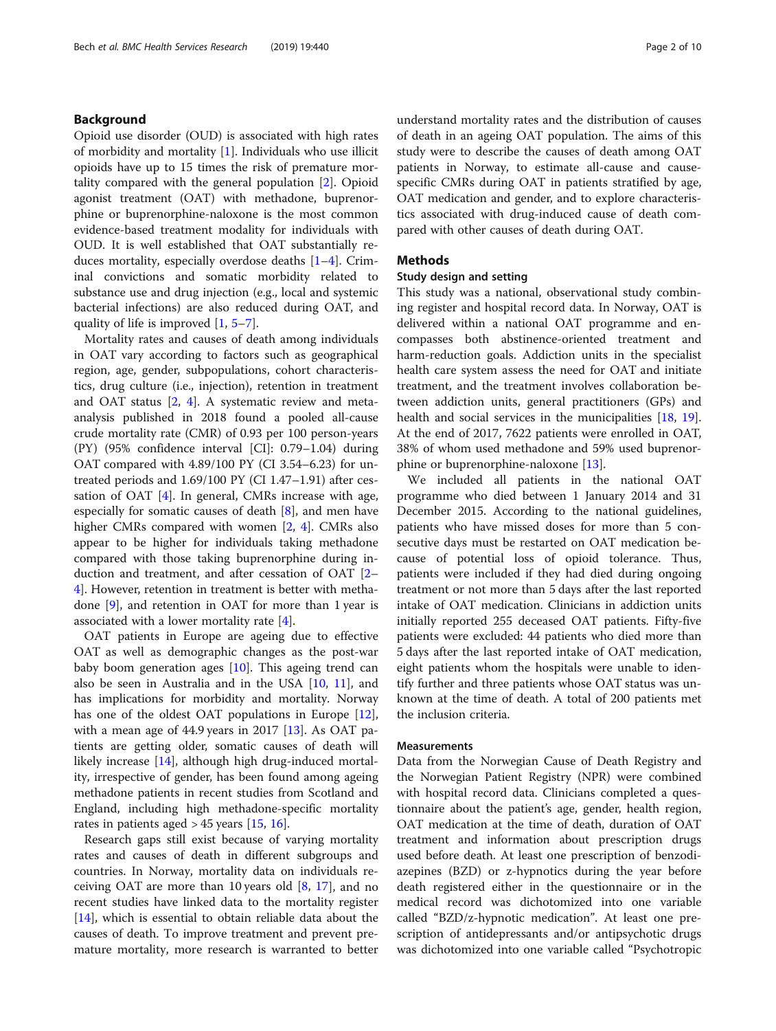## Background

Opioid use disorder (OUD) is associated with high rates of morbidity and mortality  $[1]$  $[1]$ . Individuals who use illicit opioids have up to 15 times the risk of premature mortality compared with the general population [\[2](#page-8-0)]. Opioid agonist treatment (OAT) with methadone, buprenorphine or buprenorphine-naloxone is the most common evidence-based treatment modality for individuals with OUD. It is well established that OAT substantially reduces mortality, especially overdose deaths [\[1](#page-8-0)–[4](#page-8-0)]. Criminal convictions and somatic morbidity related to substance use and drug injection (e.g., local and systemic bacterial infections) are also reduced during OAT, and quality of life is improved  $[1, 5-7]$  $[1, 5-7]$  $[1, 5-7]$  $[1, 5-7]$  $[1, 5-7]$  $[1, 5-7]$  $[1, 5-7]$ .

Mortality rates and causes of death among individuals in OAT vary according to factors such as geographical region, age, gender, subpopulations, cohort characteristics, drug culture (i.e., injection), retention in treatment and OAT status [[2,](#page-8-0) [4](#page-8-0)]. A systematic review and metaanalysis published in 2018 found a pooled all-cause crude mortality rate (CMR) of 0.93 per 100 person-years (PY) (95% confidence interval [CI]: 0.79–1.04) during OAT compared with 4.89/100 PY (CI 3.54–6.23) for untreated periods and 1.69/100 PY (CI 1.47–1.91) after cessation of OAT [\[4](#page-8-0)]. In general, CMRs increase with age, especially for somatic causes of death  $[8]$  $[8]$ , and men have higher CMRs compared with women [[2,](#page-8-0) [4\]](#page-8-0). CMRs also appear to be higher for individuals taking methadone compared with those taking buprenorphine during induction and treatment, and after cessation of OAT [[2](#page-8-0)– [4\]](#page-8-0). However, retention in treatment is better with methadone [[9\]](#page-8-0), and retention in OAT for more than 1 year is associated with a lower mortality rate  $[4]$  $[4]$  $[4]$ .

OAT patients in Europe are ageing due to effective OAT as well as demographic changes as the post-war baby boom generation ages [[10\]](#page-8-0). This ageing trend can also be seen in Australia and in the USA [\[10,](#page-8-0) [11](#page-8-0)], and has implications for morbidity and mortality. Norway has one of the oldest OAT populations in Europe [\[12](#page-8-0)], with a mean age of 44.9 years in 2017 [[13](#page-8-0)]. As OAT patients are getting older, somatic causes of death will likely increase [[14](#page-8-0)], although high drug-induced mortality, irrespective of gender, has been found among ageing methadone patients in recent studies from Scotland and England, including high methadone-specific mortality rates in patients aged  $> 45$  years [[15](#page-8-0), [16](#page-8-0)].

Research gaps still exist because of varying mortality rates and causes of death in different subgroups and countries. In Norway, mortality data on individuals receiving OAT are more than 10 years old [[8,](#page-8-0) [17](#page-8-0)], and no recent studies have linked data to the mortality register [[14\]](#page-8-0), which is essential to obtain reliable data about the causes of death. To improve treatment and prevent premature mortality, more research is warranted to better

understand mortality rates and the distribution of causes of death in an ageing OAT population. The aims of this study were to describe the causes of death among OAT patients in Norway, to estimate all-cause and causespecific CMRs during OAT in patients stratified by age, OAT medication and gender, and to explore characteristics associated with drug-induced cause of death compared with other causes of death during OAT.

## **Methods**

## Study design and setting

This study was a national, observational study combining register and hospital record data. In Norway, OAT is delivered within a national OAT programme and encompasses both abstinence-oriented treatment and harm-reduction goals. Addiction units in the specialist health care system assess the need for OAT and initiate treatment, and the treatment involves collaboration between addiction units, general practitioners (GPs) and health and social services in the municipalities [[18](#page-8-0), [19](#page-8-0)]. At the end of 2017, 7622 patients were enrolled in OAT, 38% of whom used methadone and 59% used buprenorphine or buprenorphine-naloxone [\[13\]](#page-8-0).

We included all patients in the national OAT programme who died between 1 January 2014 and 31 December 2015. According to the national guidelines, patients who have missed doses for more than 5 consecutive days must be restarted on OAT medication because of potential loss of opioid tolerance. Thus, patients were included if they had died during ongoing treatment or not more than 5 days after the last reported intake of OAT medication. Clinicians in addiction units initially reported 255 deceased OAT patients. Fifty-five patients were excluded: 44 patients who died more than 5 days after the last reported intake of OAT medication, eight patients whom the hospitals were unable to identify further and three patients whose OAT status was unknown at the time of death. A total of 200 patients met the inclusion criteria.

## Measurements

Data from the Norwegian Cause of Death Registry and the Norwegian Patient Registry (NPR) were combined with hospital record data. Clinicians completed a questionnaire about the patient's age, gender, health region, OAT medication at the time of death, duration of OAT treatment and information about prescription drugs used before death. At least one prescription of benzodiazepines (BZD) or z-hypnotics during the year before death registered either in the questionnaire or in the medical record was dichotomized into one variable called "BZD/z-hypnotic medication". At least one prescription of antidepressants and/or antipsychotic drugs was dichotomized into one variable called "Psychotropic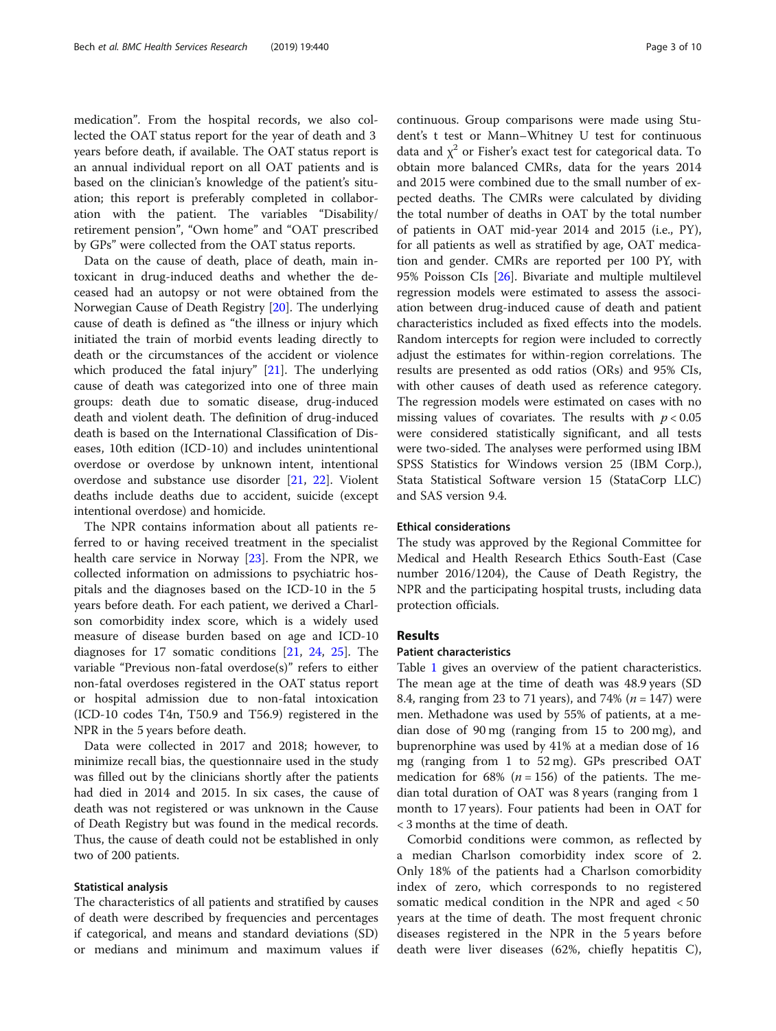medication". From the hospital records, we also collected the OAT status report for the year of death and 3 years before death, if available. The OAT status report is an annual individual report on all OAT patients and is based on the clinician's knowledge of the patient's situation; this report is preferably completed in collaboration with the patient. The variables "Disability/ retirement pension", "Own home" and "OAT prescribed by GPs" were collected from the OAT status reports.

Data on the cause of death, place of death, main intoxicant in drug-induced deaths and whether the deceased had an autopsy or not were obtained from the Norwegian Cause of Death Registry [\[20](#page-8-0)]. The underlying cause of death is defined as "the illness or injury which initiated the train of morbid events leading directly to death or the circumstances of the accident or violence which produced the fatal injury"  $[21]$  $[21]$  $[21]$ . The underlying cause of death was categorized into one of three main groups: death due to somatic disease, drug-induced death and violent death. The definition of drug-induced death is based on the International Classification of Diseases, 10th edition (ICD-10) and includes unintentional overdose or overdose by unknown intent, intentional overdose and substance use disorder [\[21](#page-8-0), [22](#page-8-0)]. Violent deaths include deaths due to accident, suicide (except intentional overdose) and homicide.

The NPR contains information about all patients referred to or having received treatment in the specialist health care service in Norway [[23\]](#page-9-0). From the NPR, we collected information on admissions to psychiatric hospitals and the diagnoses based on the ICD-10 in the 5 years before death. For each patient, we derived a Charlson comorbidity index score, which is a widely used measure of disease burden based on age and ICD-10 diagnoses for 17 somatic conditions [\[21](#page-8-0), [24](#page-9-0), [25](#page-9-0)]. The variable "Previous non-fatal overdose(s)" refers to either non-fatal overdoses registered in the OAT status report or hospital admission due to non-fatal intoxication (ICD-10 codes T4n, T50.9 and T56.9) registered in the NPR in the 5 years before death.

Data were collected in 2017 and 2018; however, to minimize recall bias, the questionnaire used in the study was filled out by the clinicians shortly after the patients had died in 2014 and 2015. In six cases, the cause of death was not registered or was unknown in the Cause of Death Registry but was found in the medical records. Thus, the cause of death could not be established in only two of 200 patients.

## Statistical analysis

The characteristics of all patients and stratified by causes of death were described by frequencies and percentages if categorical, and means and standard deviations (SD) or medians and minimum and maximum values if continuous. Group comparisons were made using Student's t test or Mann–Whitney U test for continuous data and  $\chi^2$  or Fisher's exact test for categorical data. To obtain more balanced CMRs, data for the years 2014 and 2015 were combined due to the small number of expected deaths. The CMRs were calculated by dividing the total number of deaths in OAT by the total number of patients in OAT mid-year 2014 and 2015 (i.e., PY), for all patients as well as stratified by age, OAT medication and gender. CMRs are reported per 100 PY, with 95% Poisson CIs [\[26\]](#page-9-0). Bivariate and multiple multilevel regression models were estimated to assess the association between drug-induced cause of death and patient characteristics included as fixed effects into the models. Random intercepts for region were included to correctly adjust the estimates for within-region correlations. The results are presented as odd ratios (ORs) and 95% CIs, with other causes of death used as reference category. The regression models were estimated on cases with no missing values of covariates. The results with  $p < 0.05$ were considered statistically significant, and all tests were two-sided. The analyses were performed using IBM SPSS Statistics for Windows version 25 (IBM Corp.), Stata Statistical Software version 15 (StataCorp LLC) and SAS version 9.4.

## Ethical considerations

The study was approved by the Regional Committee for Medical and Health Research Ethics South-East (Case number 2016/1204), the Cause of Death Registry, the NPR and the participating hospital trusts, including data protection officials.

## Results

## Patient characteristics

Table [1](#page-3-0) gives an overview of the patient characteristics. The mean age at the time of death was 48.9 years (SD 8.4, ranging from 23 to 71 years), and 74% ( $n = 147$ ) were men. Methadone was used by 55% of patients, at a median dose of 90 mg (ranging from 15 to 200 mg), and buprenorphine was used by 41% at a median dose of 16 mg (ranging from 1 to 52 mg). GPs prescribed OAT medication for 68% ( $n = 156$ ) of the patients. The median total duration of OAT was 8 years (ranging from 1 month to 17 years). Four patients had been in OAT for < 3 months at the time of death.

Comorbid conditions were common, as reflected by a median Charlson comorbidity index score of 2. Only 18% of the patients had a Charlson comorbidity index of zero, which corresponds to no registered somatic medical condition in the NPR and aged < 50 years at the time of death. The most frequent chronic diseases registered in the NPR in the 5 years before death were liver diseases (62%, chiefly hepatitis C),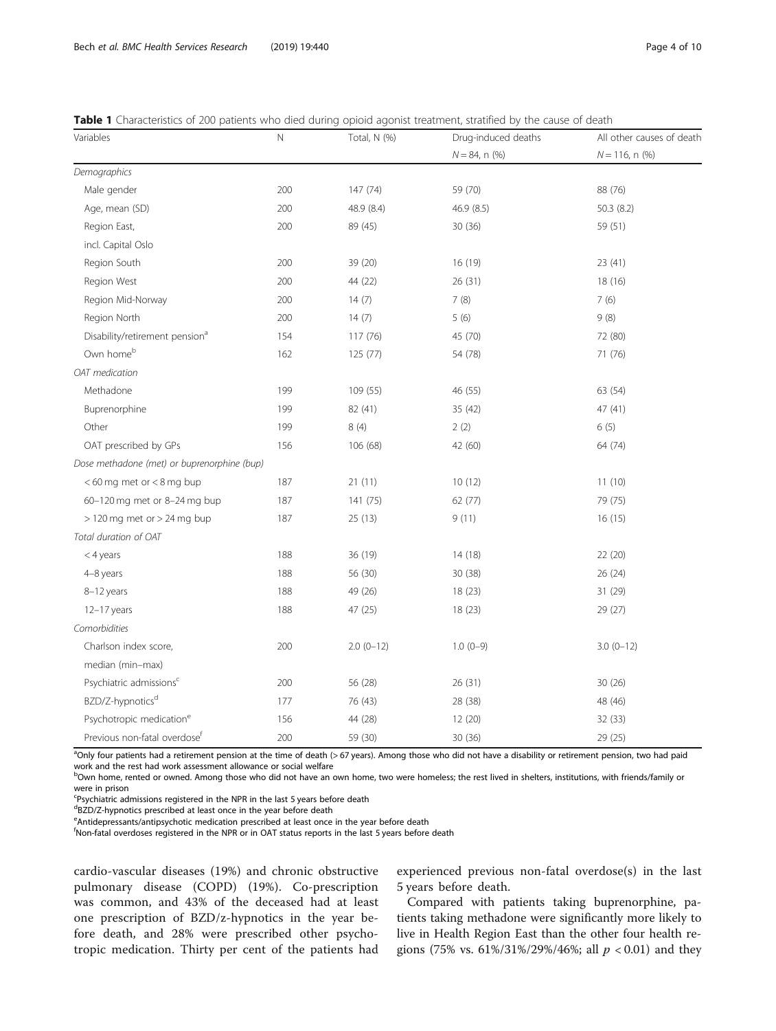| Variables                                   | N   | Total, N (%) | Drug-induced deaths | All other causes of death |
|---------------------------------------------|-----|--------------|---------------------|---------------------------|
|                                             |     |              | $N = 84$ , n $(\%)$ | $N = 116$ , n $(\%)$      |
| Demographics                                |     |              |                     |                           |
| Male gender                                 | 200 | 147(74)      | 59 (70)             | 88 (76)                   |
| Age, mean (SD)                              | 200 | 48.9 (8.4)   | 46.9 (8.5)          | 50.3(8.2)                 |
| Region East,                                | 200 | 89 (45)      | 30 (36)             | 59 (51)                   |
| incl. Capital Oslo                          |     |              |                     |                           |
| Region South                                | 200 | 39 (20)      | 16 (19)             | 23(41)                    |
| Region West                                 | 200 | 44 (22)      | 26 (31)             | 18(16)                    |
| Region Mid-Norway                           | 200 | 14(7)        | 7(8)                | 7(6)                      |
| Region North                                | 200 | 14(7)        | 5(6)                | 9(8)                      |
| Disability/retirement pension <sup>a</sup>  | 154 | 117(76)      | 45 (70)             | 72 (80)                   |
| Own home <sup>b</sup>                       | 162 | 125(77)      | 54 (78)             | 71 (76)                   |
| OAT medication                              |     |              |                     |                           |
| Methadone                                   | 199 | 109 (55)     | 46 (55)             | 63 (54)                   |
| Buprenorphine                               | 199 | 82 (41)      | 35 (42)             | 47 (41)                   |
| Other                                       | 199 | 8(4)         | 2(2)                | 6(5)                      |
| OAT prescribed by GPs                       | 156 | 106 (68)     | 42 (60)             | 64 (74)                   |
| Dose methadone (met) or buprenorphine (bup) |     |              |                     |                           |
| $< 60$ mg met or $< 8$ mg bup               | 187 | 21(11)       | 10(12)              | 11(10)                    |
| 60-120 mg met or 8-24 mg bup                | 187 | 141 (75)     | 62 (77)             | 79 (75)                   |
| $>$ 120 mg met or $>$ 24 mg bup             | 187 | 25(13)       | 9(11)               | 16(15)                    |
| Total duration of OAT                       |     |              |                     |                           |
| $<$ 4 years                                 | 188 | 36 (19)      | 14 (18)             | 22(20)                    |
| 4-8 years                                   | 188 | 56 (30)      | 30 (38)             | 26 (24)                   |
| 8-12 years                                  | 188 | 49 (26)      | 18(23)              | 31 (29)                   |
| 12-17 years                                 | 188 | 47 (25)      | 18 (23)             | 29 (27)                   |
| Comorbidities                               |     |              |                     |                           |
| Charlson index score,                       | 200 | $2.0(0-12)$  | $1.0(0-9)$          | $3.0(0-12)$               |
| median (min-max)                            |     |              |                     |                           |
| Psychiatric admissions <sup>c</sup>         | 200 | 56 (28)      | 26(31)              | 30(26)                    |
| BZD/Z-hypnotics <sup>d</sup>                | 177 | 76 (43)      | 28 (38)             | 48 (46)                   |
| Psychotropic medication <sup>e</sup>        | 156 | 44 (28)      | 12 (20)             | 32 (33)                   |
| Previous non-fatal overdosef                | 200 | 59 (30)      | 30 (36)             | 29 (25)                   |

<span id="page-3-0"></span>Table 1 Characteristics of 200 patients who died during opioid agonist treatment, stratified by the cause of death

<sup>a</sup>Only four patients had a retirement pension at the time of death (>67 years). Among those who did not have a disability or retirement pension, two had paid work and the rest had work assessment allowance or social welfare

b<sub>own home, rented or owned. Among those who did not have an own home, two were homeless; the rest lived in shelters, institutions, with friends/family or</sub> were in prison

Psychiatric admissions registered in the NPR in the last 5 years before death

<sup>d</sup>BZD/Z-hypnotics prescribed at least once in the year before death

<sup>e</sup>Antidepressants/antipsychotic medication prescribed at least once in the year before death

f Non-fatal overdoses registered in the NPR or in OAT status reports in the last 5 years before death

cardio-vascular diseases (19%) and chronic obstructive pulmonary disease (COPD) (19%). Co-prescription was common, and 43% of the deceased had at least one prescription of BZD/z-hypnotics in the year before death, and 28% were prescribed other psychotropic medication. Thirty per cent of the patients had

experienced previous non-fatal overdose(s) in the last 5 years before death.

Compared with patients taking buprenorphine, patients taking methadone were significantly more likely to live in Health Region East than the other four health regions (75% vs. 61%/31%/29%/46%; all  $p < 0.01$ ) and they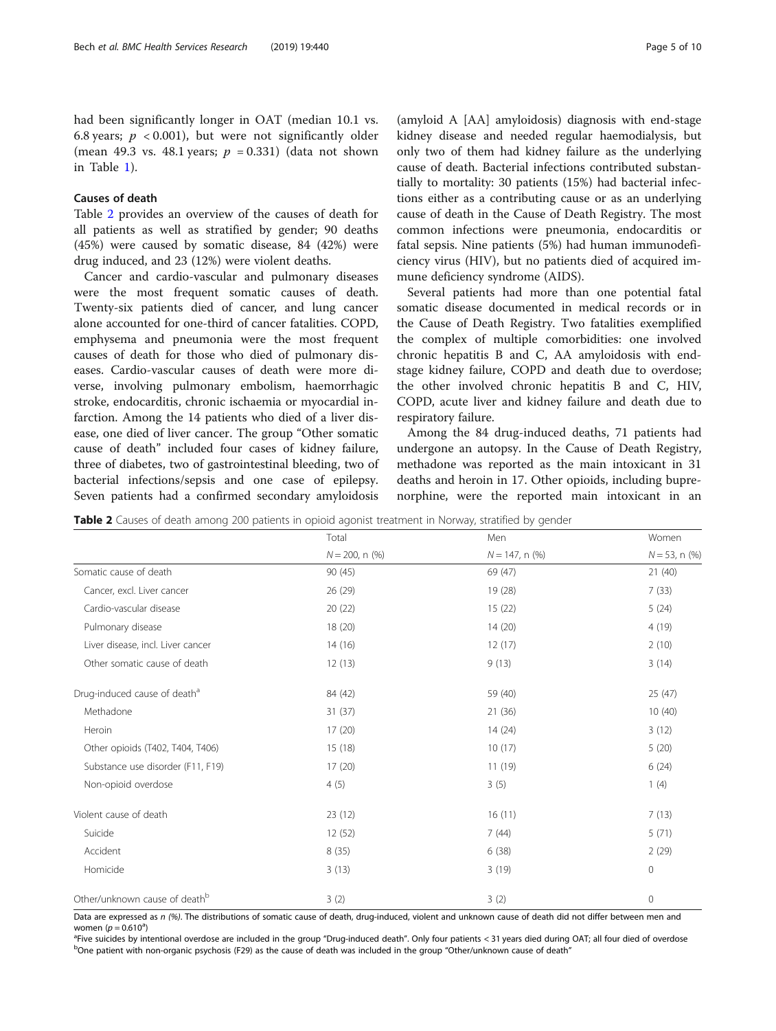had been significantly longer in OAT (median 10.1 vs. 6.8 years;  $p \leq 0.001$ ), but were not significantly older (mean 49.3 vs. 48.1 years;  $p = 0.331$ ) (data not shown in Table [1](#page-3-0)).

## Causes of death

Table 2 provides an overview of the causes of death for all patients as well as stratified by gender; 90 deaths (45%) were caused by somatic disease, 84 (42%) were drug induced, and 23 (12%) were violent deaths.

Cancer and cardio-vascular and pulmonary diseases were the most frequent somatic causes of death. Twenty-six patients died of cancer, and lung cancer alone accounted for one-third of cancer fatalities. COPD, emphysema and pneumonia were the most frequent causes of death for those who died of pulmonary diseases. Cardio-vascular causes of death were more diverse, involving pulmonary embolism, haemorrhagic stroke, endocarditis, chronic ischaemia or myocardial infarction. Among the 14 patients who died of a liver disease, one died of liver cancer. The group "Other somatic cause of death" included four cases of kidney failure, three of diabetes, two of gastrointestinal bleeding, two of bacterial infections/sepsis and one case of epilepsy. Seven patients had a confirmed secondary amyloidosis

(amyloid A [AA] amyloidosis) diagnosis with end-stage kidney disease and needed regular haemodialysis, but only two of them had kidney failure as the underlying cause of death. Bacterial infections contributed substantially to mortality: 30 patients (15%) had bacterial infections either as a contributing cause or as an underlying cause of death in the Cause of Death Registry. The most common infections were pneumonia, endocarditis or fatal sepsis. Nine patients (5%) had human immunodeficiency virus (HIV), but no patients died of acquired im-

Several patients had more than one potential fatal somatic disease documented in medical records or in the Cause of Death Registry. Two fatalities exemplified the complex of multiple comorbidities: one involved chronic hepatitis B and C, AA amyloidosis with endstage kidney failure, COPD and death due to overdose; the other involved chronic hepatitis B and C, HIV, COPD, acute liver and kidney failure and death due to respiratory failure.

mune deficiency syndrome (AIDS).

Among the 84 drug-induced deaths, 71 patients had undergone an autopsy. In the Cause of Death Registry, methadone was reported as the main intoxicant in 31 deaths and heroin in 17. Other opioids, including buprenorphine, were the reported main intoxicant in an

|                                           | Total                | Men                  | Women               |  |
|-------------------------------------------|----------------------|----------------------|---------------------|--|
|                                           | $N = 200$ , n $(\%)$ | $N = 147$ , n $(\%)$ | $N = 53$ , n $(\%)$ |  |
| Somatic cause of death                    | 90 (45)              | 69 (47)              | 21(40)              |  |
| Cancer, excl. Liver cancer                | 26 (29)              | 19 (28)              | 7(33)               |  |
| Cardio-vascular disease                   | 20(22)               | 15(22)               | 5(24)               |  |
| Pulmonary disease                         | 18(20)               | 14(20)               | 4(19)               |  |
| Liver disease, incl. Liver cancer         | 14(16)               | 12(17)               | 2(10)               |  |
| Other somatic cause of death              | 12(13)               | 9(13)                | 3(14)               |  |
| Drug-induced cause of death <sup>a</sup>  | 84 (42)              | 59 (40)              | 25(47)              |  |
| Methadone                                 | 31(37)               | 21(36)               | 10(40)              |  |
| Heroin                                    | 17(20)               | 14(24)               | 3(12)               |  |
| Other opioids (T402, T404, T406)          | 15(18)               | 10(17)               | 5(20)               |  |
| Substance use disorder (F11, F19)         | 17(20)               | 11(19)               | 6(24)               |  |
| Non-opioid overdose                       | 4(5)                 | 3(5)                 | 1(4)                |  |
| Violent cause of death                    | 23(12)               | 16(11)               | 7(13)               |  |
| Suicide                                   | 12 (52)              | 7(44)                | 5(71)               |  |
| Accident                                  | 8(35)                | 6(38)                | 2(29)               |  |
| Homicide                                  | 3(13)                | 3(19)                | $\mathbf 0$         |  |
| Other/unknown cause of death <sup>b</sup> | 3(2)                 | 3(2)                 | 0                   |  |

**Table 2** Causes of death among 200 patients in opioid agonist treatment in Norway, stratified by gender

Data are expressed as n (%). The distributions of somatic cause of death, drug-induced, violent and unknown cause of death did not differ between men and women ( $p = 0.610^a$ ) women ( $p = 0.610^a$ )<br><sup>a</sup>Eive suicides by in

<sup>a</sup>Five suicides by intentional overdose are included in the group "Drug-induced death". Only four patients < 31 years died during OAT; all four died of overdose<br><sup>b</sup>Ope patient with pop-organic psychosis (E29) as the cause  $b$ One patient with non-organic psychosis (F29) as the cause of death was included in the group "Other/unknown cause of death"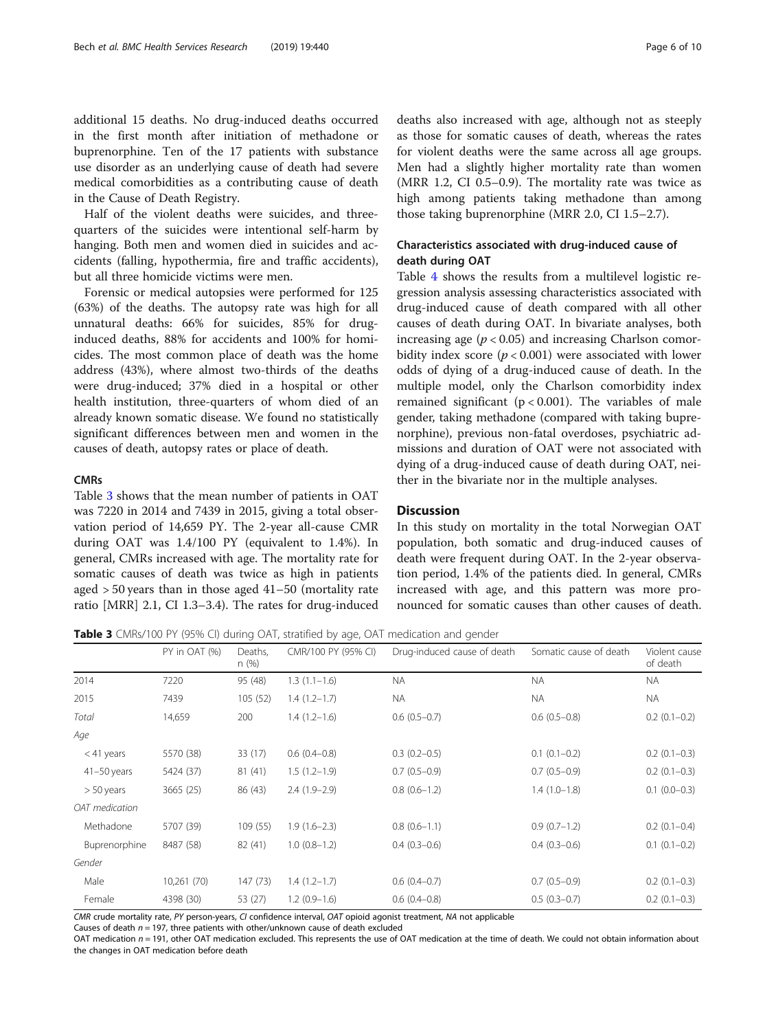additional 15 deaths. No drug-induced deaths occurred in the first month after initiation of methadone or buprenorphine. Ten of the 17 patients with substance use disorder as an underlying cause of death had severe medical comorbidities as a contributing cause of death in the Cause of Death Registry.

Half of the violent deaths were suicides, and threequarters of the suicides were intentional self-harm by hanging. Both men and women died in suicides and accidents (falling, hypothermia, fire and traffic accidents), but all three homicide victims were men.

Forensic or medical autopsies were performed for 125 (63%) of the deaths. The autopsy rate was high for all unnatural deaths: 66% for suicides, 85% for druginduced deaths, 88% for accidents and 100% for homicides. The most common place of death was the home address (43%), where almost two-thirds of the deaths were drug-induced; 37% died in a hospital or other health institution, three-quarters of whom died of an already known somatic disease. We found no statistically significant differences between men and women in the causes of death, autopsy rates or place of death.

#### **CMRs**

Table 3 shows that the mean number of patients in OAT was 7220 in 2014 and 7439 in 2015, giving a total observation period of 14,659 PY. The 2-year all-cause CMR during OAT was 1.4/100 PY (equivalent to 1.4%). In general, CMRs increased with age. The mortality rate for somatic causes of death was twice as high in patients aged > 50 years than in those aged 41–50 (mortality rate ratio [MRR] 2.1, CI 1.3–3.4). The rates for drug-induced deaths also increased with age, although not as steeply as those for somatic causes of death, whereas the rates for violent deaths were the same across all age groups. Men had a slightly higher mortality rate than women (MRR 1.2, CI 0.5–0.9). The mortality rate was twice as high among patients taking methadone than among those taking buprenorphine (MRR 2.0, CI 1.5–2.7).

## Characteristics associated with drug-induced cause of death during OAT

Table [4](#page-6-0) shows the results from a multilevel logistic regression analysis assessing characteristics associated with drug-induced cause of death compared with all other causes of death during OAT. In bivariate analyses, both increasing age ( $p < 0.05$ ) and increasing Charlson comorbidity index score  $(p < 0.001)$  were associated with lower odds of dying of a drug-induced cause of death. In the multiple model, only the Charlson comorbidity index remained significant ( $p < 0.001$ ). The variables of male gender, taking methadone (compared with taking buprenorphine), previous non-fatal overdoses, psychiatric admissions and duration of OAT were not associated with dying of a drug-induced cause of death during OAT, neither in the bivariate nor in the multiple analyses.

## **Discussion**

In this study on mortality in the total Norwegian OAT population, both somatic and drug-induced causes of death were frequent during OAT. In the 2-year observation period, 1.4% of the patients died. In general, CMRs increased with age, and this pattern was more pronounced for somatic causes than other causes of death.

**Table 3** CMRs/100 PY (95% CI) during OAT, stratified by age, OAT medication and gender

|                 | PY in OAT (%) | Deaths,<br>n(%) | CMR/100 PY (95% CI) | Drug-induced cause of death | Somatic cause of death | Violent cause<br>of death |
|-----------------|---------------|-----------------|---------------------|-----------------------------|------------------------|---------------------------|
| 2014            | 7220          | 95 (48)         | $1.3(1.1-1.6)$      | <b>NA</b>                   | <b>NA</b>              | <b>NA</b>                 |
| 2015            | 7439          | 105 (52)        | $1.4(1.2-1.7)$      | <b>NA</b>                   | <b>NA</b>              | <b>NA</b>                 |
| Total           | 14,659        | 200             | $1.4(1.2-1.6)$      | $0.6(0.5-0.7)$              | $0.6(0.5-0.8)$         | $0.2$ (0.1-0.2)           |
| Age             |               |                 |                     |                             |                        |                           |
| $<$ 41 years    | 5570 (38)     | 33 (17)         | $0.6(0.4-0.8)$      | $0.3(0.2-0.5)$              | $0.1(0.1-0.2)$         | $0.2$ (0.1-0.3)           |
| $41 - 50$ years | 5424 (37)     | 81(41)          | $1.5(1.2-1.9)$      | $0.7(0.5-0.9)$              | $0.7(0.5-0.9)$         | $0.2$ (0.1-0.3)           |
| $> 50$ years    | 3665 (25)     | 86 (43)         | $2.4(1.9-2.9)$      | $0.8(0.6-1.2)$              | $1.4(1.0-1.8)$         | $0.1(0.0-0.3)$            |
| OAT medication  |               |                 |                     |                             |                        |                           |
| Methadone       | 5707 (39)     | 109 (55)        | $1.9(1.6-2.3)$      | $0.8(0.6-1.1)$              | $0.9(0.7-1.2)$         | $0.2$ (0.1-0.4)           |
| Buprenorphine   | 8487 (58)     | 82 (41)         | $1.0(0.8-1.2)$      | $0.4(0.3-0.6)$              | $0.4(0.3-0.6)$         | $0.1(0.1-0.2)$            |
| Gender          |               |                 |                     |                             |                        |                           |
| Male            | 10,261 (70)   | 147 (73)        | $1.4(1.2-1.7)$      | $0.6(0.4-0.7)$              | $0.7(0.5-0.9)$         | $0.2$ (0.1-0.3)           |
| Female          | 4398 (30)     | 53 (27)         | $1.2(0.9-1.6)$      | $0.6(0.4-0.8)$              | $0.5(0.3-0.7)$         | $0.2(0.1-0.3)$            |

CMR crude mortality rate, PY person-years, CI confidence interval, OAT opioid agonist treatment, NA not applicable

Causes of death  $n = 197$ , three patients with other/unknown cause of death excluded

OAT medication  $n = 191$ , other OAT medication excluded. This represents the use of OAT medication at the time of death. We could not obtain information about the changes in OAT medication before death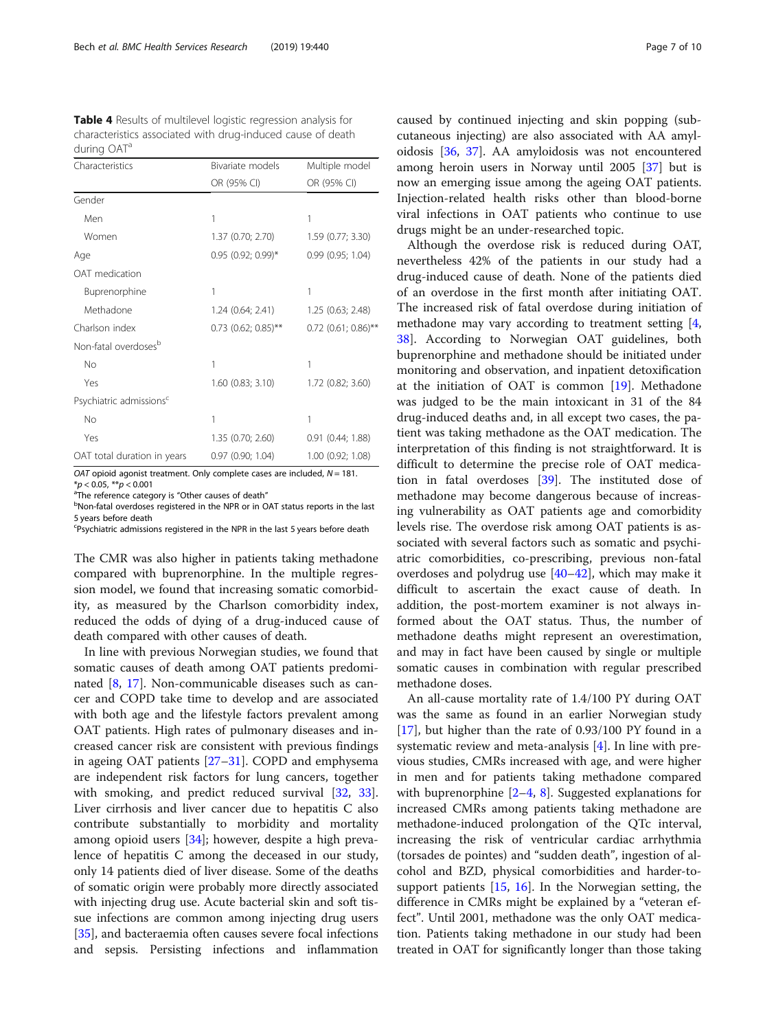<span id="page-6-0"></span>Table 4 Results of multilevel logistic regression analysis for characteristics associated with drug-induced cause of death during OAT<sup>a</sup>

| Characteristics                     | Bivariate models      | Multiple model        |
|-------------------------------------|-----------------------|-----------------------|
|                                     | OR (95% CI)           | OR (95% CI)           |
| Gender                              |                       |                       |
| Men                                 | 1                     | 1                     |
| Women                               | 1.37 (0.70; 2.70)     | 1.59 (0.77; 3.30)     |
| Age                                 | $0.95$ (0.92; 0.99)*  | $0.99$ $(0.95; 1.04)$ |
| OAT medication                      |                       |                       |
| Buprenorphine                       | 1                     | 1                     |
| Methadone                           | 1.24 (0.64; 2.41)     | 1.25 (0.63; 2.48)     |
| Charlson index                      | $0.73$ (0.62; 0.85)** | $0.72$ (0.61; 0.86)** |
| Non-fatal overdoses <sup>b</sup>    |                       |                       |
| No                                  | 1                     | 1                     |
| Yes                                 | $1.60$ (0.83; 3.10)   | 1.72 (0.82; 3.60)     |
| Psychiatric admissions <sup>c</sup> |                       |                       |
| No                                  | 1                     | 1                     |
| Yes                                 | 1.35 (0.70; 2.60)     | $0.91$ $(0.44; 1.88)$ |
| OAT total duration in years         | $0.97$ $(0.90; 1.04)$ | 1.00 (0.92; 1.08)     |

*OAT* opioid agonist treatment. Only complete cases are included,  $N = 181$ .<br>\* $p < 0.05$ . \*\* $p < 0.001$  $*p < 0.05$ ,  $**p < 0.001$ <br>aThe reference cated

 $^{\text{a}}$ The reference category is "Other causes of death"<br><sup>b</sup>Non-fatal overdoses registered in the NPP or in O

Non-fatal overdoses registered in the NPR or in OAT status reports in the last 5 years before death

Psychiatric admissions registered in the NPR in the last 5 years before death

The CMR was also higher in patients taking methadone compared with buprenorphine. In the multiple regression model, we found that increasing somatic comorbidity, as measured by the Charlson comorbidity index, reduced the odds of dying of a drug-induced cause of death compared with other causes of death.

In line with previous Norwegian studies, we found that somatic causes of death among OAT patients predominated [\[8](#page-8-0), [17](#page-8-0)]. Non-communicable diseases such as cancer and COPD take time to develop and are associated with both age and the lifestyle factors prevalent among OAT patients. High rates of pulmonary diseases and increased cancer risk are consistent with previous findings in ageing OAT patients [[27](#page-9-0)–[31](#page-9-0)]. COPD and emphysema are independent risk factors for lung cancers, together with smoking, and predict reduced survival [[32](#page-9-0), [33](#page-9-0)]. Liver cirrhosis and liver cancer due to hepatitis C also contribute substantially to morbidity and mortality among opioid users [\[34\]](#page-9-0); however, despite a high prevalence of hepatitis C among the deceased in our study, only 14 patients died of liver disease. Some of the deaths of somatic origin were probably more directly associated with injecting drug use. Acute bacterial skin and soft tissue infections are common among injecting drug users [[35\]](#page-9-0), and bacteraemia often causes severe focal infections and sepsis. Persisting infections and inflammation caused by continued injecting and skin popping (subcutaneous injecting) are also associated with AA amyloidosis [[36,](#page-9-0) [37\]](#page-9-0). AA amyloidosis was not encountered among heroin users in Norway until 2005 [[37\]](#page-9-0) but is now an emerging issue among the ageing OAT patients. Injection-related health risks other than blood-borne viral infections in OAT patients who continue to use drugs might be an under-researched topic.

Although the overdose risk is reduced during OAT, nevertheless 42% of the patients in our study had a drug-induced cause of death. None of the patients died of an overdose in the first month after initiating OAT. The increased risk of fatal overdose during initiation of methadone may vary according to treatment setting [\[4](#page-8-0), [38\]](#page-9-0). According to Norwegian OAT guidelines, both buprenorphine and methadone should be initiated under monitoring and observation, and inpatient detoxification at the initiation of OAT is common [[19\]](#page-8-0). Methadone was judged to be the main intoxicant in 31 of the 84 drug-induced deaths and, in all except two cases, the patient was taking methadone as the OAT medication. The interpretation of this finding is not straightforward. It is difficult to determine the precise role of OAT medication in fatal overdoses [[39\]](#page-9-0). The instituted dose of methadone may become dangerous because of increasing vulnerability as OAT patients age and comorbidity levels rise. The overdose risk among OAT patients is associated with several factors such as somatic and psychiatric comorbidities, co-prescribing, previous non-fatal overdoses and polydrug use [[40](#page-9-0)–[42](#page-9-0)], which may make it difficult to ascertain the exact cause of death. In addition, the post-mortem examiner is not always informed about the OAT status. Thus, the number of methadone deaths might represent an overestimation, and may in fact have been caused by single or multiple somatic causes in combination with regular prescribed methadone doses.

An all-cause mortality rate of 1.4/100 PY during OAT was the same as found in an earlier Norwegian study [[17\]](#page-8-0), but higher than the rate of 0.93/100 PY found in a systematic review and meta-analysis [\[4](#page-8-0)]. In line with previous studies, CMRs increased with age, and were higher in men and for patients taking methadone compared with buprenorphine  $[2-4, 8]$  $[2-4, 8]$  $[2-4, 8]$  $[2-4, 8]$  $[2-4, 8]$ . Suggested explanations for increased CMRs among patients taking methadone are methadone-induced prolongation of the QTc interval, increasing the risk of ventricular cardiac arrhythmia (torsades de pointes) and "sudden death", ingestion of alcohol and BZD, physical comorbidities and harder-tosupport patients [\[15](#page-8-0), [16](#page-8-0)]. In the Norwegian setting, the difference in CMRs might be explained by a "veteran effect". Until 2001, methadone was the only OAT medication. Patients taking methadone in our study had been treated in OAT for significantly longer than those taking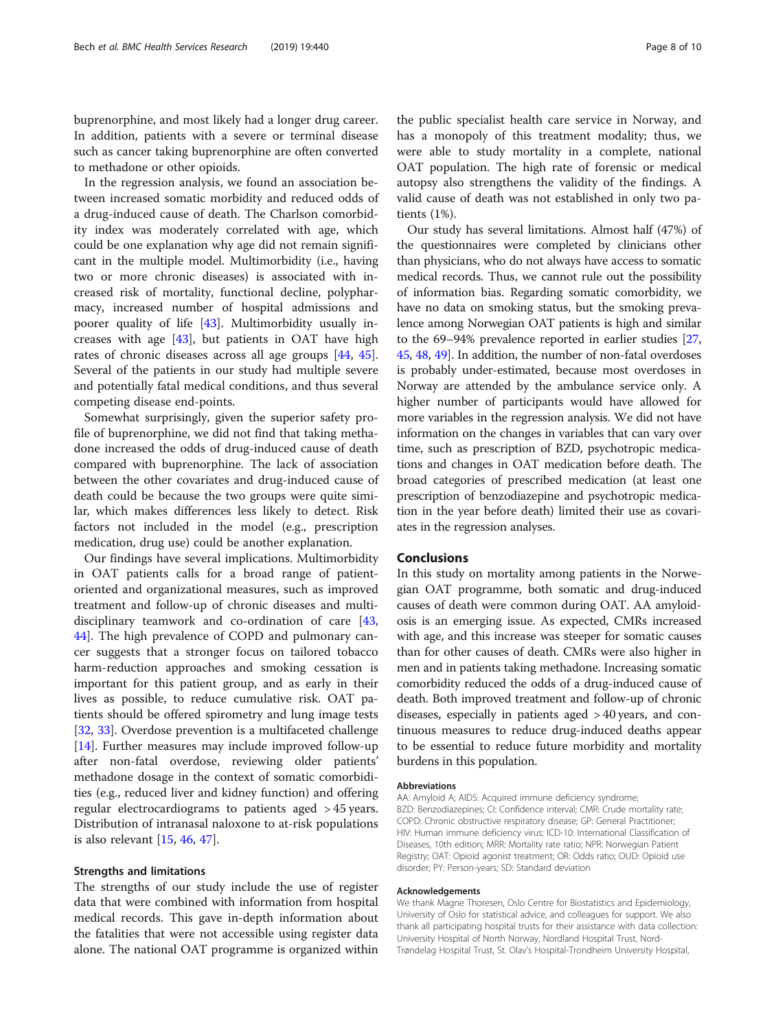buprenorphine, and most likely had a longer drug career. In addition, patients with a severe or terminal disease such as cancer taking buprenorphine are often converted to methadone or other opioids.

In the regression analysis, we found an association between increased somatic morbidity and reduced odds of a drug-induced cause of death. The Charlson comorbidity index was moderately correlated with age, which could be one explanation why age did not remain significant in the multiple model. Multimorbidity (i.e., having two or more chronic diseases) is associated with increased risk of mortality, functional decline, polypharmacy, increased number of hospital admissions and poorer quality of life [[43](#page-9-0)]. Multimorbidity usually increases with age [\[43\]](#page-9-0), but patients in OAT have high rates of chronic diseases across all age groups [\[44](#page-9-0), [45](#page-9-0)]. Several of the patients in our study had multiple severe and potentially fatal medical conditions, and thus several competing disease end-points.

Somewhat surprisingly, given the superior safety profile of buprenorphine, we did not find that taking methadone increased the odds of drug-induced cause of death compared with buprenorphine. The lack of association between the other covariates and drug-induced cause of death could be because the two groups were quite similar, which makes differences less likely to detect. Risk factors not included in the model (e.g., prescription medication, drug use) could be another explanation.

Our findings have several implications. Multimorbidity in OAT patients calls for a broad range of patientoriented and organizational measures, such as improved treatment and follow-up of chronic diseases and multidisciplinary teamwork and co-ordination of care [[43](#page-9-0), [44\]](#page-9-0). The high prevalence of COPD and pulmonary cancer suggests that a stronger focus on tailored tobacco harm-reduction approaches and smoking cessation is important for this patient group, and as early in their lives as possible, to reduce cumulative risk. OAT patients should be offered spirometry and lung image tests [[32,](#page-9-0) [33\]](#page-9-0). Overdose prevention is a multifaceted challenge [[14\]](#page-8-0). Further measures may include improved follow-up after non-fatal overdose, reviewing older patients' methadone dosage in the context of somatic comorbidities (e.g., reduced liver and kidney function) and offering regular electrocardiograms to patients aged > 45 years. Distribution of intranasal naloxone to at-risk populations is also relevant [\[15](#page-8-0), [46](#page-9-0), [47](#page-9-0)].

## Strengths and limitations

The strengths of our study include the use of register data that were combined with information from hospital medical records. This gave in-depth information about the fatalities that were not accessible using register data alone. The national OAT programme is organized within

the public specialist health care service in Norway, and has a monopoly of this treatment modality; thus, we were able to study mortality in a complete, national OAT population. The high rate of forensic or medical autopsy also strengthens the validity of the findings. A valid cause of death was not established in only two patients (1%).

Our study has several limitations. Almost half (47%) of the questionnaires were completed by clinicians other than physicians, who do not always have access to somatic medical records. Thus, we cannot rule out the possibility of information bias. Regarding somatic comorbidity, we have no data on smoking status, but the smoking prevalence among Norwegian OAT patients is high and similar to the 69–94% prevalence reported in earlier studies [[27](#page-9-0), [45](#page-9-0), [48,](#page-9-0) [49](#page-9-0)]. In addition, the number of non-fatal overdoses is probably under-estimated, because most overdoses in Norway are attended by the ambulance service only. A higher number of participants would have allowed for more variables in the regression analysis. We did not have information on the changes in variables that can vary over time, such as prescription of BZD, psychotropic medications and changes in OAT medication before death. The broad categories of prescribed medication (at least one prescription of benzodiazepine and psychotropic medication in the year before death) limited their use as covariates in the regression analyses.

## **Conclusions**

In this study on mortality among patients in the Norwegian OAT programme, both somatic and drug-induced causes of death were common during OAT. AA amyloidosis is an emerging issue. As expected, CMRs increased with age, and this increase was steeper for somatic causes than for other causes of death. CMRs were also higher in men and in patients taking methadone. Increasing somatic comorbidity reduced the odds of a drug-induced cause of death. Both improved treatment and follow-up of chronic diseases, especially in patients aged > 40 years, and continuous measures to reduce drug-induced deaths appear to be essential to reduce future morbidity and mortality burdens in this population.

#### Abbreviations

AA: Amyloid A; AIDS: Acquired immune deficiency syndrome; BZD: Benzodiazepines; CI: Confidence interval; CMR: Crude mortality rate; COPD: Chronic obstructive respiratory disease; GP: General Practitioner; HIV: Human immune deficiency virus; ICD-10: International Classification of Diseases, 10th edition; MRR: Mortality rate ratio; NPR: Norwegian Patient Registry; OAT: Opioid agonist treatment; OR: Odds ratio; OUD: Opioid use disorder; PY: Person-years; SD: Standard deviation

#### Acknowledgements

We thank Magne Thoresen, Oslo Centre for Biostatistics and Epidemiology, University of Oslo for statistical advice, and colleagues for support. We also thank all participating hospital trusts for their assistance with data collection: University Hospital of North Norway, Nordland Hospital Trust, Nord-Trøndelag Hospital Trust, St. Olav's Hospital-Trondheim University Hospital,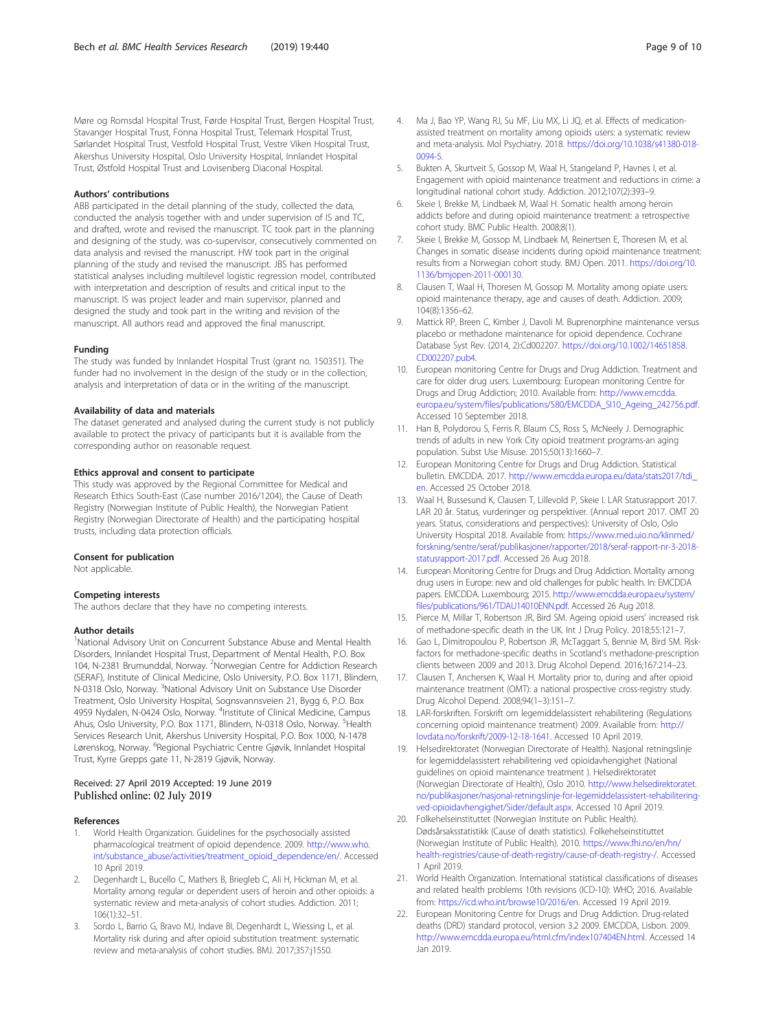<span id="page-8-0"></span>Møre og Romsdal Hospital Trust, Førde Hospital Trust, Bergen Hospital Trust, Stavanger Hospital Trust, Fonna Hospital Trust, Telemark Hospital Trust, Sørlandet Hospital Trust, Vestfold Hospital Trust, Vestre Viken Hospital Trust, Akershus University Hospital, Oslo University Hospital, Innlandet Hospital Trust, Østfold Hospital Trust and Lovisenberg Diaconal Hospital.

#### Authors' contributions

ABB participated in the detail planning of the study, collected the data, conducted the analysis together with and under supervision of IS and TC, and drafted, wrote and revised the manuscript. TC took part in the planning and designing of the study, was co-supervisor, consecutively commented on data analysis and revised the manuscript. HW took part in the original planning of the study and revised the manuscript. JBS has performed statistical analyses including multilevel logistic regression model, contributed with interpretation and description of results and critical input to the manuscript. IS was project leader and main supervisor, planned and designed the study and took part in the writing and revision of the manuscript. All authors read and approved the final manuscript.

#### Funding

The study was funded by Innlandet Hospital Trust (grant no. 150351). The funder had no involvement in the design of the study or in the collection, analysis and interpretation of data or in the writing of the manuscript.

#### Availability of data and materials

The dataset generated and analysed during the current study is not publicly available to protect the privacy of participants but it is available from the corresponding author on reasonable request.

#### Ethics approval and consent to participate

This study was approved by the Regional Committee for Medical and Research Ethics South-East (Case number 2016/1204), the Cause of Death Registry (Norwegian Institute of Public Health), the Norwegian Patient Registry (Norwegian Directorate of Health) and the participating hospital trusts, including data protection officials.

#### Consent for publication

Not applicable.

#### Competing interests

The authors declare that they have no competing interests.

#### Author details

<sup>1</sup>National Advisory Unit on Concurrent Substance Abuse and Mental Health Disorders, Innlandet Hospital Trust, Department of Mental Health, P.O. Box 104, N-2381 Brumunddal, Norway. <sup>2</sup>Norwegian Centre for Addiction Research (SERAF), Institute of Clinical Medicine, Oslo University, P.O. Box 1171, Blindern, N-0318 Oslo, Norway. <sup>3</sup>National Advisory Unit on Substance Use Disorder Treatment, Oslo University Hospital, Sognsvannsveien 21, Bygg 6, P.O. Box 4959 Nydalen, N-0424 Oslo, Norway. <sup>4</sup>Institute of Clinical Medicine, Campus Ahus, Oslo University, P.O. Box 1171, Blindern, N-0318 Oslo, Norway. <sup>5</sup>Health Services Research Unit, Akershus University Hospital, P.O. Box 1000, N-1478 Lørenskog, Norway. <sup>6</sup>Regional Psychiatric Centre Gjøvik, Innlandet Hospital Trust, Kyrre Grepps gate 11, N-2819 Gjøvik, Norway.

## Received: 27 April 2019 Accepted: 19 June 2019 Published online: 02 July 2019

#### References

- 1. World Health Organization. Guidelines for the psychosocially assisted pharmacological treatment of opioid dependence. 2009. [http://www.who.](http://www.who.int/substance_abuse/activities/treatment_opioid_dependence/en/) [int/substance\\_abuse/activities/treatment\\_opioid\\_dependence/en/.](http://www.who.int/substance_abuse/activities/treatment_opioid_dependence/en/) Accessed 10 April 2019.
- 2. Degenhardt L, Bucello C, Mathers B, Briegleb C, Ali H, Hickman M, et al. Mortality among regular or dependent users of heroin and other opioids: a systematic review and meta-analysis of cohort studies. Addiction. 2011; 106(1):32–51.
- 3. Sordo L, Barrio G, Bravo MJ, Indave BI, Degenhardt L, Wiessing L, et al. Mortality risk during and after opioid substitution treatment: systematic review and meta-analysis of cohort studies. BMJ. 2017;357:j1550.
- 4. Ma J, Bao YP, Wang RJ, Su MF, Liu MX, Li JQ, et al. Effects of medicationassisted treatment on mortality among opioids users: a systematic review and meta-analysis. Mol Psychiatry. 2018. [https://doi.org/10.1038/s41380-018-](https://doi.org/10.1038/s41380-018-0094-5) [0094-5.](https://doi.org/10.1038/s41380-018-0094-5)
- 5. Bukten A, Skurtveit S, Gossop M, Waal H, Stangeland P, Havnes I, et al. Engagement with opioid maintenance treatment and reductions in crime: a longitudinal national cohort study. Addiction. 2012;107(2):393–9.
- Skeie I, Brekke M, Lindbaek M, Waal H. Somatic health among heroin addicts before and during opioid maintenance treatment: a retrospective cohort study. BMC Public Health. 2008;8(1).
- 7. Skeie I, Brekke M, Gossop M, Lindbaek M, Reinertsen E, Thoresen M, et al. Changes in somatic disease incidents during opioid maintenance treatment: results from a Norwegian cohort study. BMJ Open. 2011. [https://doi.org/10.](https://doi.org/10.1136/bmjopen-2011-000130) [1136/bmjopen-2011-000130](https://doi.org/10.1136/bmjopen-2011-000130).
- 8. Clausen T, Waal H, Thoresen M, Gossop M. Mortality among opiate users: opioid maintenance therapy, age and causes of death. Addiction. 2009; 104(8):1356–62.
- 9. Mattick RP, Breen C, Kimber J, Davoli M. Buprenorphine maintenance versus placebo or methadone maintenance for opioid dependence. Cochrane Database Syst Rev. (2014, 2):Cd002207. [https://doi.org/10.1002/14651858.](https://doi.org/10.1002/14651858.CD002207.pub4) [CD002207.pub4.](https://doi.org/10.1002/14651858.CD002207.pub4)
- 10. European monitoring Centre for Drugs and Drug Addiction. Treatment and care for older drug users. Luxembourg: European monitoring Centre for Drugs and Drug Addiction; 2010. Available from: [http://www.emcdda.](http://www.emcdda.europa.eu/system/files/publications/580/EMCDDA_SI10_Ageing_242756.pdf) [europa.eu/system/files/publications/580/EMCDDA\\_SI10\\_Ageing\\_242756.pdf.](http://www.emcdda.europa.eu/system/files/publications/580/EMCDDA_SI10_Ageing_242756.pdf) Accessed 10 September 2018.
- 11. Han B, Polydorou S, Ferris R, Blaum CS, Ross S, McNeely J. Demographic trends of adults in new York City opioid treatment programs-an aging population. Subst Use Misuse. 2015;50(13):1660–7.
- 12. European Monitoring Centre for Drugs and Drug Addiction. Statistical bulletin. EMCDDA. 2017. [http://www.emcdda.europa.eu/data/stats2017/tdi\\_](http://www.emcdda.europa.eu/data/stats2017/tdi_en) [en.](http://www.emcdda.europa.eu/data/stats2017/tdi_en) Accessed 25 October 2018.
- 13. Waal H, Bussesund K, Clausen T, Lillevold P, Skeie I. LAR Statusrapport 2017. LAR 20 år. Status, vurderinger og perspektiver. (Annual report 2017. OMT 20 years. Status, considerations and perspectives): University of Oslo, Oslo University Hospital 2018. Available from: [https://www.med.uio.no/klinmed/](https://www.med.uio.no/klinmed/forskning/sentre/seraf/publikasjoner/rapporter/2018/seraf-rapport-nr-3-2018-statusrapport-2017.pdf) [forskning/sentre/seraf/publikasjoner/rapporter/2018/seraf-rapport-nr-3-2018](https://www.med.uio.no/klinmed/forskning/sentre/seraf/publikasjoner/rapporter/2018/seraf-rapport-nr-3-2018-statusrapport-2017.pdf) [statusrapport-2017.pdf.](https://www.med.uio.no/klinmed/forskning/sentre/seraf/publikasjoner/rapporter/2018/seraf-rapport-nr-3-2018-statusrapport-2017.pdf) Accessed 26 Aug 2018.
- 14. European Monitoring Centre for Drugs and Drug Addiction. Mortality among drug users in Europe: new and old challenges for public health. In: EMCDDA papers. EMCDDA. Luxembourg; 2015. [http://www.emcdda.europa.eu/system/](http://www.emcdda.europa.eu/system/files/publications/961/TDAU14010ENN.pdf) [files/publications/961/TDAU14010ENN.pdf.](http://www.emcdda.europa.eu/system/files/publications/961/TDAU14010ENN.pdf) Accessed 26 Aug 2018.
- 15. Pierce M, Millar T, Robertson JR, Bird SM. Ageing opioid users' increased risk of methadone-specific death in the UK. Int J Drug Policy. 2018;55:121–7.
- 16. Gao L, Dimitropoulou P, Robertson JR, McTaggart S, Bennie M, Bird SM. Riskfactors for methadone-specific deaths in Scotland's methadone-prescription clients between 2009 and 2013. Drug Alcohol Depend. 2016;167:214–23.
- 17. Clausen T, Anchersen K, Waal H. Mortality prior to, during and after opioid maintenance treatment (OMT): a national prospective cross-registry study. Drug Alcohol Depend. 2008;94(1–3):151–7.
- 18. LAR-forskriften. Forskrift om legemiddelassistert rehabilitering (Regulations concerning opioid maintenance treatment) 2009. Available from: [http://](http://lovdata.no/forskrift/2009-12-18-1641) [lovdata.no/forskrift/2009-12-18-1641](http://lovdata.no/forskrift/2009-12-18-1641). Accessed 10 April 2019.
- 19. Helsedirektoratet (Norwegian Directorate of Health). Nasjonal retningslinje for legemiddelassistert rehabilitering ved opioidavhengighet (National guidelines on opioid maintenance treatment ). Helsedirektoratet (Norwegian Directorate of Health), Oslo 2010. [http://www.helsedirektoratet.](http://www.helsedirektoratet.no/publikasjoner/nasjonal-retningslinje-for-legemiddelassistert-rehabilitering-ved-opioidavhengighet/Sider/default.aspx) [no/publikasjoner/nasjonal-retningslinje-for-legemiddelassistert-rehabilitering](http://www.helsedirektoratet.no/publikasjoner/nasjonal-retningslinje-for-legemiddelassistert-rehabilitering-ved-opioidavhengighet/Sider/default.aspx)[ved-opioidavhengighet/Sider/default.aspx.](http://www.helsedirektoratet.no/publikasjoner/nasjonal-retningslinje-for-legemiddelassistert-rehabilitering-ved-opioidavhengighet/Sider/default.aspx) Accessed 10 April 2019.
- 20. Folkehelseinstituttet (Norwegian Institute on Public Health). Dødsårsaksstatistikk (Cause of death statistics). Folkehelseinstituttet (Norwegian Institute of Public Health). 2010. [https://www.fhi.no/en/hn/](https://www.fhi.no/en/hn/health-registries/cause-of-death-registry/cause-of-death-registry-/) [health-registries/cause-of-death-registry/cause-of-death-registry-/](https://www.fhi.no/en/hn/health-registries/cause-of-death-registry/cause-of-death-registry-/). Accessed 1 April 2019.
- 21. World Health Organization. International statistical classifications of diseases and related health problems 10th revisions (ICD-10): WHO; 2016. Available from: [https://icd.who.int/browse10/2016/en.](https://icd.who.int/browse10/2016/en) Accessed 19 April 2019.
- 22. European Monitoring Centre for Drugs and Drug Addiction. Drug-related deaths (DRD) standard protocol, version 3.2 2009. EMCDDA, Lisbon. 2009. <http://www.emcdda.europa.eu/html.cfm/index107404EN.html>. Accessed 14 Jan 2019.